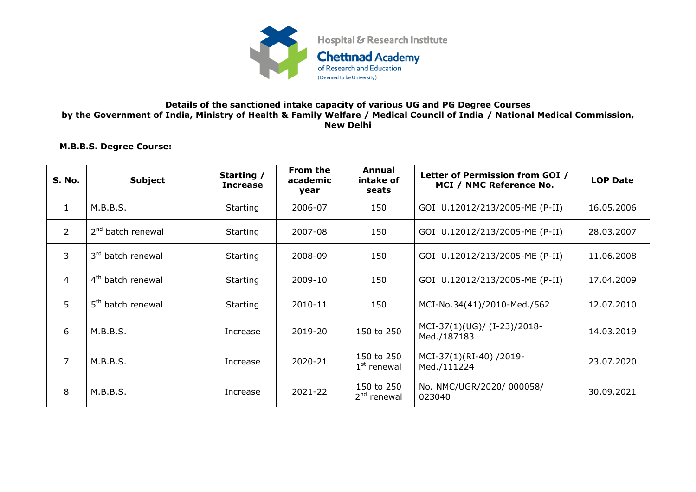

## **Details of the sanctioned intake capacity of various UG and PG Degree Courses by the Government of India, Ministry of Health & Family Welfare / Medical Council of India / National Medical Commission, New Delhi**

## **M.B.B.S. Degree Course:**

| S. No.         | <b>Subject</b>                | Starting /<br><b>Increase</b> | From the<br>academic<br>vear | Annual<br>intake of<br>seats | Letter of Permission from GOI /<br>MCI / NMC Reference No. | <b>LOP Date</b> |
|----------------|-------------------------------|-------------------------------|------------------------------|------------------------------|------------------------------------------------------------|-----------------|
| $\mathbf{1}$   | M.B.B.S.                      | Starting                      | 2006-07                      | 150                          | GOI U.12012/213/2005-ME (P-II)                             | 16.05.2006      |
| $\overline{2}$ | 2 <sup>nd</sup> batch renewal | Starting                      | 2007-08                      | 150                          | GOI U.12012/213/2005-ME (P-II)                             | 28.03.2007      |
| 3              | 3 <sup>rd</sup> batch renewal | Starting                      | 2008-09                      | 150                          | GOI U.12012/213/2005-ME (P-II)                             | 11.06.2008      |
| 4              | 4 <sup>th</sup> batch renewal | Starting                      | 2009-10                      | 150                          | GOI U.12012/213/2005-ME (P-II)                             | 17.04.2009      |
| 5              | 5 <sup>th</sup> batch renewal | Starting                      | 2010-11                      | 150                          | MCI-No.34(41)/2010-Med./562                                | 12.07.2010      |
| 6              | M.B.B.S.                      | Increase                      | 2019-20                      | 150 to 250                   | MCI-37(1)(UG)/ (I-23)/2018-<br>Med./187183                 | 14.03.2019      |
| $\overline{7}$ | M.B.B.S.                      | Increase                      | 2020-21                      | 150 to 250<br>$1st$ renewal  | MCI-37(1)(RI-40) /2019-<br>Med./111224                     | 23.07.2020      |
| 8              | M.B.B.S.                      | Increase                      | 2021-22                      | 150 to 250<br>$2nd$ renewal  | No. NMC/UGR/2020/ 000058/<br>023040                        | 30.09.2021      |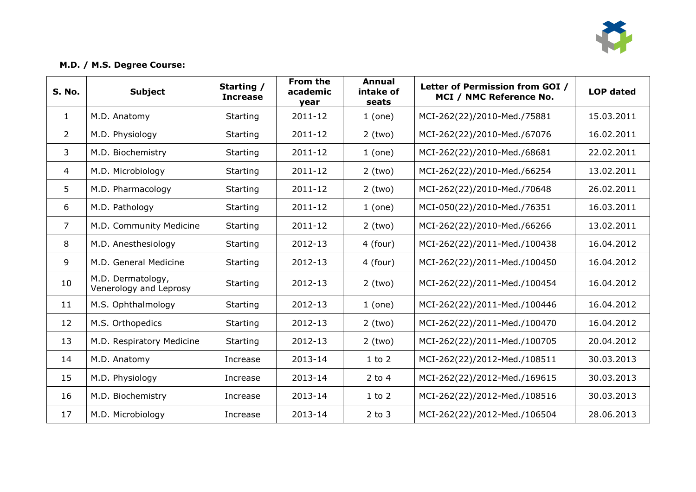

## **M.D. / M.S. Degree Course:**

| <b>S. No.</b>  | <b>Subject</b>                              | Starting /<br><b>Increase</b> | From the<br>academic<br>vear | Annual<br>intake of<br>seats | Letter of Permission from GOI /<br>MCI / NMC Reference No. | <b>LOP</b> dated |
|----------------|---------------------------------------------|-------------------------------|------------------------------|------------------------------|------------------------------------------------------------|------------------|
| $\mathbf{1}$   | M.D. Anatomy                                | Starting                      | 2011-12                      | 1 (one)                      | MCI-262(22)/2010-Med./75881                                | 15.03.2011       |
| $\overline{2}$ | M.D. Physiology                             | Starting                      | 2011-12                      | $2$ (two)                    | MCI-262(22)/2010-Med./67076                                | 16.02.2011       |
| 3              | M.D. Biochemistry                           | Starting                      | 2011-12                      | 1 (one)                      | MCI-262(22)/2010-Med./68681                                | 22.02.2011       |
| $\overline{4}$ | M.D. Microbiology                           | <b>Starting</b>               | 2011-12                      | $2$ (two)                    | MCI-262(22)/2010-Med./66254                                | 13.02.2011       |
| 5              | M.D. Pharmacology                           | <b>Starting</b>               | 2011-12                      | $2$ (two)                    | MCI-262(22)/2010-Med./70648                                | 26.02.2011       |
| 6              | M.D. Pathology                              | Starting                      | 2011-12                      | 1 (one)                      | MCI-050(22)/2010-Med./76351                                | 16.03.2011       |
| $\overline{7}$ | M.D. Community Medicine                     | Starting                      | 2011-12                      | $2$ (two)                    | MCI-262(22)/2010-Med./66266                                | 13.02.2011       |
| 8              | M.D. Anesthesiology                         | Starting                      | 2012-13                      | 4 (four)                     | MCI-262(22)/2011-Med./100438                               | 16.04.2012       |
| 9              | M.D. General Medicine                       | Starting                      | 2012-13                      | 4 (four)                     | MCI-262(22)/2011-Med./100450                               | 16.04.2012       |
| 10             | M.D. Dermatology,<br>Venerology and Leprosy | Starting                      | 2012-13                      | $2$ (two)                    | MCI-262(22)/2011-Med./100454                               | 16.04.2012       |
| 11             | M.S. Ophthalmology                          | Starting                      | 2012-13                      | 1 (one)                      | MCI-262(22)/2011-Med./100446                               | 16.04.2012       |
| 12             | M.S. Orthopedics                            | Starting                      | 2012-13                      | $2$ (two)                    | MCI-262(22)/2011-Med./100470                               | 16.04.2012       |
| 13             | M.D. Respiratory Medicine                   | Starting                      | 2012-13                      | $2$ (two)                    | MCI-262(22)/2011-Med./100705                               | 20.04.2012       |
| 14             | M.D. Anatomy                                | Increase                      | 2013-14                      | $1$ to $2$                   | MCI-262(22)/2012-Med./108511                               | 30.03.2013       |
| 15             | M.D. Physiology                             | Increase                      | 2013-14                      | $2$ to 4                     | MCI-262(22)/2012-Med./169615                               | 30.03.2013       |
| 16             | M.D. Biochemistry                           | Increase                      | 2013-14                      | $1$ to $2$                   | MCI-262(22)/2012-Med./108516                               | 30.03.2013       |
| 17             | M.D. Microbiology                           | Increase                      | 2013-14                      | $2$ to $3$                   | MCI-262(22)/2012-Med./106504                               | 28.06.2013       |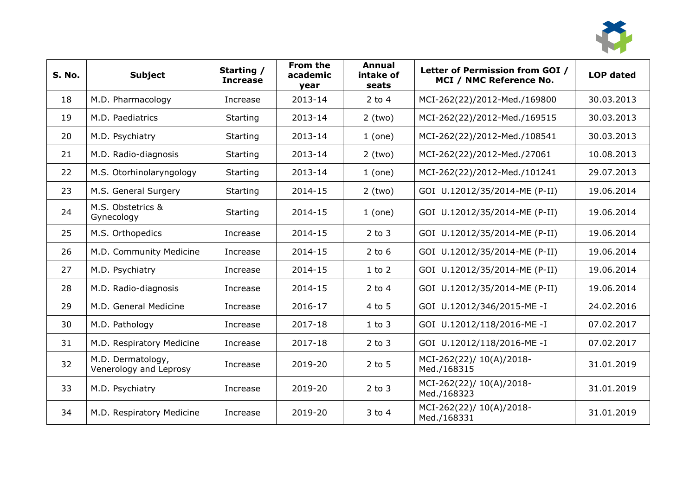

| <b>S. No.</b> | <b>Subject</b>                              | Starting /<br><b>Increase</b> | From the<br>academic<br>vear | <b>Annual</b><br>intake of<br>seats | Letter of Permission from GOI /<br>MCI / NMC Reference No. | <b>LOP dated</b> |
|---------------|---------------------------------------------|-------------------------------|------------------------------|-------------------------------------|------------------------------------------------------------|------------------|
| 18            | M.D. Pharmacology                           | Increase                      | 2013-14                      | $2$ to 4                            | MCI-262(22)/2012-Med./169800                               | 30.03.2013       |
| 19            | M.D. Paediatrics                            | Starting                      | 2013-14                      | $2$ (two)                           | MCI-262(22)/2012-Med./169515                               | 30.03.2013       |
| 20            | M.D. Psychiatry                             | Starting                      | 2013-14                      | $1$ (one)                           | MCI-262(22)/2012-Med./108541                               | 30.03.2013       |
| 21            | M.D. Radio-diagnosis                        | Starting                      | 2013-14                      | $2$ (two)                           | MCI-262(22)/2012-Med./27061                                | 10.08.2013       |
| 22            | M.S. Otorhinolaryngology                    | Starting                      | 2013-14                      | 1 (one)                             | MCI-262(22)/2012-Med./101241                               | 29.07.2013       |
| 23            | M.S. General Surgery                        | Starting                      | 2014-15                      | $2$ (two)                           | GOI U.12012/35/2014-ME (P-II)                              | 19.06.2014       |
| 24            | M.S. Obstetrics &<br>Gynecology             | Starting                      | 2014-15                      | 1 (one)                             | GOI U.12012/35/2014-ME (P-II)                              | 19.06.2014       |
| 25            | M.S. Orthopedics                            | Increase                      | 2014-15                      | $2$ to $3$                          | GOI U.12012/35/2014-ME (P-II)                              | 19.06.2014       |
| 26            | M.D. Community Medicine                     | Increase                      | 2014-15                      | $2$ to 6                            | GOI U.12012/35/2014-ME (P-II)                              | 19.06.2014       |
| 27            | M.D. Psychiatry                             | Increase                      | 2014-15                      | $1$ to $2$                          | GOI U.12012/35/2014-ME (P-II)                              | 19.06.2014       |
| 28            | M.D. Radio-diagnosis                        | Increase                      | 2014-15                      | $2$ to 4                            | GOI U.12012/35/2014-ME (P-II)                              | 19.06.2014       |
| 29            | M.D. General Medicine                       | Increase                      | 2016-17                      | 4 to 5                              | GOI U.12012/346/2015-ME-I                                  | 24.02.2016       |
| 30            | M.D. Pathology                              | Increase                      | 2017-18                      | $1$ to $3$                          | GOI U.12012/118/2016-ME-I                                  | 07.02.2017       |
| 31            | M.D. Respiratory Medicine                   | Increase                      | 2017-18                      | $2$ to $3$                          | GOI U.12012/118/2016-ME-I                                  | 07.02.2017       |
| 32            | M.D. Dermatology,<br>Venerology and Leprosy | Increase                      | 2019-20                      | $2$ to 5                            | MCI-262(22)/ 10(A)/2018-<br>Med./168315                    | 31.01.2019       |
| 33            | M.D. Psychiatry                             | Increase                      | 2019-20                      | $2$ to $3$                          | MCI-262(22)/ 10(A)/2018-<br>Med./168323                    | 31.01.2019       |
| 34            | M.D. Respiratory Medicine                   | Increase                      | 2019-20                      | $3$ to $4$                          | MCI-262(22)/ 10(A)/2018-<br>Med./168331                    | 31.01.2019       |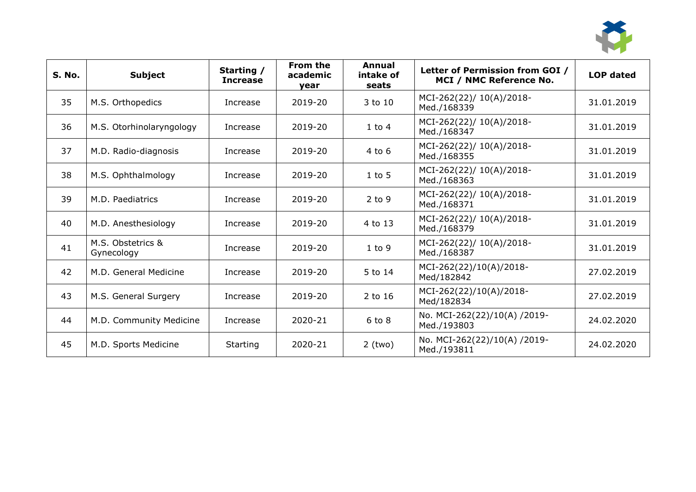

| S. No. | <b>Subject</b>                  | Starting /<br><b>Increase</b> | From the<br>academic<br>vear | Annual<br>intake of<br>seats | Letter of Permission from GOI /<br>MCI / NMC Reference No. | <b>LOP</b> dated |
|--------|---------------------------------|-------------------------------|------------------------------|------------------------------|------------------------------------------------------------|------------------|
| 35     | M.S. Orthopedics                | Increase                      | 2019-20                      | 3 to 10                      | MCI-262(22)/ 10(A)/2018-<br>Med./168339                    | 31.01.2019       |
| 36     | M.S. Otorhinolaryngology        | Increase                      | 2019-20                      | $1$ to $4$                   | MCI-262(22)/ 10(A)/2018-<br>Med./168347                    | 31.01.2019       |
| 37     | M.D. Radio-diagnosis            | Increase                      | 2019-20                      | $4$ to $6$                   | MCI-262(22)/ 10(A)/2018-<br>Med./168355                    | 31.01.2019       |
| 38     | M.S. Ophthalmology              | Increase                      | 2019-20                      | $1$ to $5$                   | MCI-262(22)/ 10(A)/2018-<br>Med./168363                    | 31.01.2019       |
| 39     | M.D. Paediatrics                | Increase                      | 2019-20                      | $2$ to 9                     | MCI-262(22)/ 10(A)/2018-<br>Med./168371                    | 31.01.2019       |
| 40     | M.D. Anesthesiology             | Increase                      | 2019-20                      | 4 to 13                      | MCI-262(22)/ 10(A)/2018-<br>Med./168379                    | 31.01.2019       |
| 41     | M.S. Obstetrics &<br>Gynecology | Increase                      | 2019-20                      | $1$ to $9$                   | MCI-262(22)/ 10(A)/2018-<br>Med./168387                    | 31.01.2019       |
| 42     | M.D. General Medicine           | Increase                      | 2019-20                      | 5 to 14                      | MCI-262(22)/10(A)/2018-<br>Med/182842                      | 27.02.2019       |
| 43     | M.S. General Surgery            | Increase                      | 2019-20                      | 2 to 16                      | MCI-262(22)/10(A)/2018-<br>Med/182834                      | 27.02.2019       |
| 44     | M.D. Community Medicine         | Increase                      | 2020-21                      | $6$ to $8$                   | No. MCI-262(22)/10(A) /2019-<br>Med./193803                | 24.02.2020       |
| 45     | M.D. Sports Medicine            | Starting                      | 2020-21                      | $2$ (two)                    | No. MCI-262(22)/10(A) /2019-<br>Med./193811                | 24.02.2020       |